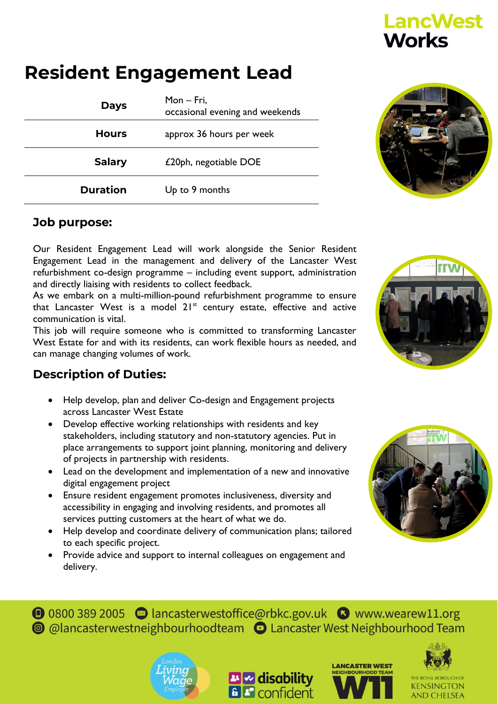## **Resident Engagement Lead**

| <b>Days</b>     | Mon - Fri,<br>occasional evening and weekends |
|-----------------|-----------------------------------------------|
| <b>Hours</b>    | approx 36 hours per week                      |
| <b>Salary</b>   | £20ph, negotiable DOE                         |
| <b>Duration</b> | Up to 9 months                                |



**LancWest** 

**Works** 

## **Job purpose:**

Our Resident Engagement Lead will work alongside the Senior Resident Engagement Lead in the management and delivery of the Lancaster West refurbishment co-design programme – including event support, administration and directly liaising with residents to collect feedback.

As we embark on a multi-million-pound refurbishment programme to ensure that Lancaster West is a model  $21^{st}$  century estate, effective and active communication is vital.

This job will require someone who is committed to transforming Lancaster West Estate for and with its residents, can work flexible hours as needed, and can manage changing volumes of work.

## **Description of Duties:**

- Help develop, plan and deliver Co-design and Engagement projects across Lancaster West Estate
- Develop effective working relationships with residents and key stakeholders, including statutory and non-statutory agencies. Put in place arrangements to support joint planning, monitoring and delivery of projects in partnership with residents.
- Lead on the development and implementation of a new and innovative digital engagement project
- Ensure resident engagement promotes inclusiveness, diversity and accessibility in engaging and involving residents, and promotes all services putting customers at the heart of what we do.
- Help develop and coordinate delivery of communication plans; tailored to each specific project.
- Provide advice and support to internal colleagues on engagement and delivery.











**KENSINGTON AND CHELSEA**